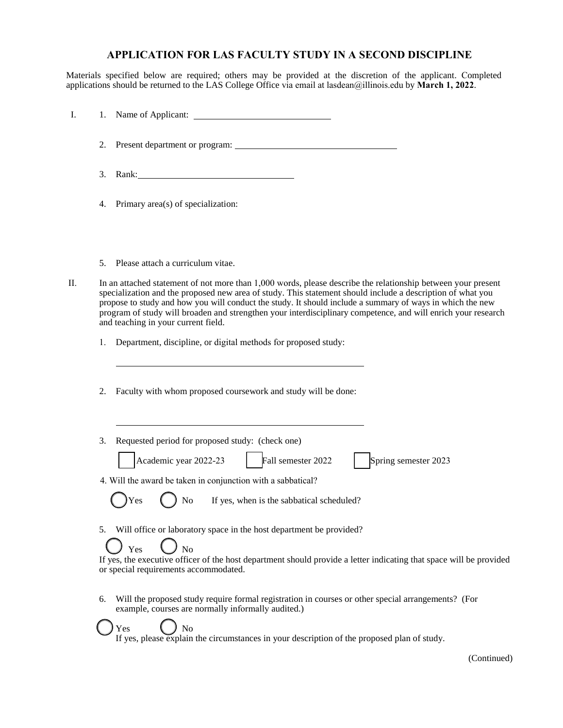## **APPLICATION FOR LAS FACULTY STUDY IN A SECOND DISCIPLINE**

Materials specified below are required; others may be provided at the discretion of the applicant. Completed applications should be returned to the LAS College Office via email at lasdean@illinois.edu by **March 1, 2022**.

| Ι. |    |                                                                                                                                                                                                                                                                                                                                                                                                                                                                                                 |
|----|----|-------------------------------------------------------------------------------------------------------------------------------------------------------------------------------------------------------------------------------------------------------------------------------------------------------------------------------------------------------------------------------------------------------------------------------------------------------------------------------------------------|
|    | 2. |                                                                                                                                                                                                                                                                                                                                                                                                                                                                                                 |
|    | 3. | Rank: Natural Communication of the Communication of the Communication of the Communication of the Communication of the Communication of the Communication of the Communication of the Communication of the Communication of th                                                                                                                                                                                                                                                                  |
|    | 4. | Primary area(s) of specialization:                                                                                                                                                                                                                                                                                                                                                                                                                                                              |
|    | 5. | Please attach a curriculum vitae.                                                                                                                                                                                                                                                                                                                                                                                                                                                               |
| П. |    | In an attached statement of not more than 1,000 words, please describe the relationship between your present<br>specialization and the proposed new area of study. This statement should include a description of what you<br>propose to study and how you will conduct the study. It should include a summary of ways in which the new<br>program of study will broaden and strengthen your interdisciplinary competence, and will enrich your research<br>and teaching in your current field. |
|    | 1. | Department, discipline, or digital methods for proposed study:                                                                                                                                                                                                                                                                                                                                                                                                                                  |
|    | 2. | Faculty with whom proposed coursework and study will be done:                                                                                                                                                                                                                                                                                                                                                                                                                                   |
|    | 3. | Requested period for proposed study: (check one)                                                                                                                                                                                                                                                                                                                                                                                                                                                |
|    |    | Academic year 2022-23<br>Fall semester 2022<br>Spring semester 2023                                                                                                                                                                                                                                                                                                                                                                                                                             |
|    |    | 4. Will the award be taken in conjunction with a sabbatical?<br>If yes, when is the sabbatical scheduled?<br>No                                                                                                                                                                                                                                                                                                                                                                                 |
|    | 5. | Will office or laboratory space in the host department be provided?<br>No<br>Yes                                                                                                                                                                                                                                                                                                                                                                                                                |
|    |    | If yes, the executive officer of the host department should provide a letter indicating that space will be provided<br>or special requirements accommodated.                                                                                                                                                                                                                                                                                                                                    |
|    | 6. | Will the proposed study require formal registration in courses or other special arrangements? (For<br>example, courses are normally informally audited.)                                                                                                                                                                                                                                                                                                                                        |
|    |    | No<br>Yes<br>If yes, please explain the circumstances in your description of the proposed plan of study.                                                                                                                                                                                                                                                                                                                                                                                        |